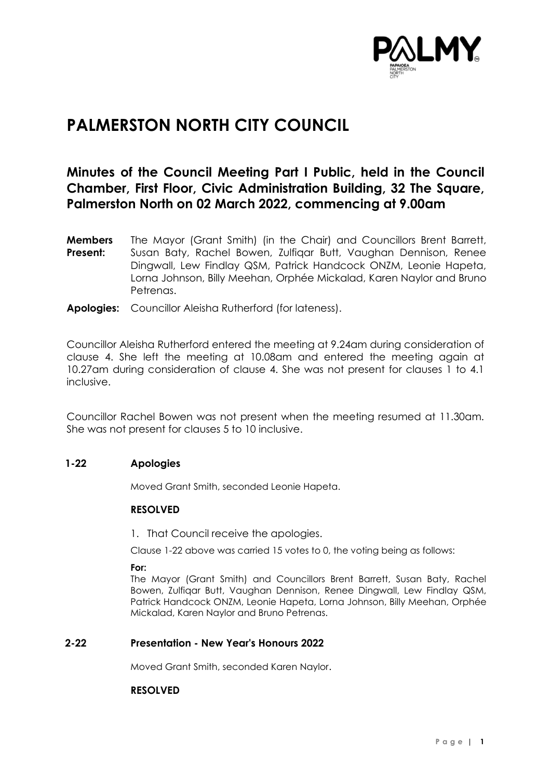

# **PALMERSTON NORTH CITY COUNCIL**

# **Minutes of the Council Meeting Part I Public, held in the Council Chamber, First Floor, Civic Administration Building, 32 The Square, Palmerston North on 02 March 2022, commencing at 9.00am**

- **Members Present:** The Mayor (Grant Smith) (in the Chair) and Councillors Brent Barrett, Susan Baty, Rachel Bowen, Zulfiqar Butt, Vaughan Dennison, Renee Dingwall, Lew Findlay QSM, Patrick Handcock ONZM, Leonie Hapeta, Lorna Johnson, Billy Meehan, Orphée Mickalad, Karen Naylor and Bruno Petrenas.
- **Apologies:** Councillor Aleisha Rutherford (for lateness).

Councillor Aleisha Rutherford entered the meeting at 9.24am during consideration of clause 4. She left the meeting at 10.08am and entered the meeting again at 10.27am during consideration of clause 4. She was not present for clauses 1 to 4.1 inclusive.

Councillor Rachel Bowen was not present when the meeting resumed at 11.30am. She was not present for clauses 5 to 10 inclusive.

# **1-22 Apologies**

Moved Grant Smith, seconded Leonie Hapeta.

#### **RESOLVED**

1. That Council receive the apologies.

Clause 1-22 above was carried 15 votes to 0, the voting being as follows:

**For:**

The Mayor (Grant Smith) and Councillors Brent Barrett, Susan Baty, Rachel Bowen, Zulfiqar Butt, Vaughan Dennison, Renee Dingwall, Lew Findlay QSM, Patrick Handcock ONZM, Leonie Hapeta, Lorna Johnson, Billy Meehan, Orphée Mickalad, Karen Naylor and Bruno Petrenas.

# **2-22 Presentation - New Year's Honours 2022**

Moved Grant Smith, seconded Karen Naylor.

#### **RESOLVED**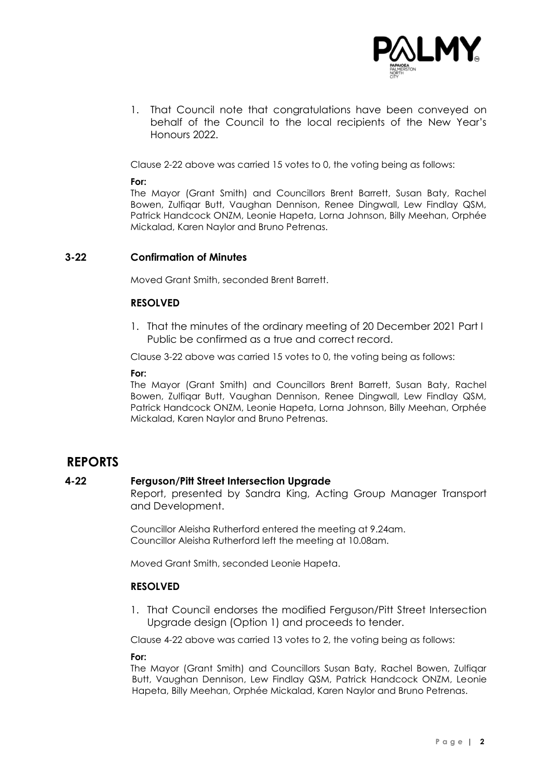

1. That Council note that congratulations have been conveyed on behalf of the Council to the local recipients of the New Year's Honours 2022.

Clause 2-22 above was carried 15 votes to 0, the voting being as follows:

### **For:**

The Mayor (Grant Smith) and Councillors Brent Barrett, Susan Baty, Rachel Bowen, Zulfiqar Butt, Vaughan Dennison, Renee Dingwall, Lew Findlay QSM, Patrick Handcock ONZM, Leonie Hapeta, Lorna Johnson, Billy Meehan, Orphée Mickalad, Karen Naylor and Bruno Petrenas.

# **3-22 Confirmation of Minutes**

Moved Grant Smith, seconded Brent Barrett.

# **RESOLVED**

1. That the minutes of the ordinary meeting of 20 December 2021 Part I Public be confirmed as a true and correct record.

Clause 3-22 above was carried 15 votes to 0, the voting being as follows:

#### **For:**

The Mayor (Grant Smith) and Councillors Brent Barrett, Susan Baty, Rachel Bowen, Zulfiqar Butt, Vaughan Dennison, Renee Dingwall, Lew Findlay QSM, Patrick Handcock ONZM, Leonie Hapeta, Lorna Johnson, Billy Meehan, Orphée Mickalad, Karen Naylor and Bruno Petrenas.

# **REPORTS**

# **4-22 Ferguson/Pitt Street Intersection Upgrade**

Report, presented by Sandra King, Acting Group Manager Transport and Development.

Councillor Aleisha Rutherford entered the meeting at 9.24am. Councillor Aleisha Rutherford left the meeting at 10.08am.

Moved Grant Smith, seconded Leonie Hapeta.

# **RESOLVED**

1. That Council endorses the modified Ferguson/Pitt Street Intersection Upgrade design (Option 1) and proceeds to tender.

Clause 4-22 above was carried 13 votes to 2, the voting being as follows:

#### **For:**

The Mayor (Grant Smith) and Councillors Susan Baty, Rachel Bowen, Zulfiqar Butt, Vaughan Dennison, Lew Findlay QSM, Patrick Handcock ONZM, Leonie Hapeta, Billy Meehan, Orphée Mickalad, Karen Naylor and Bruno Petrenas.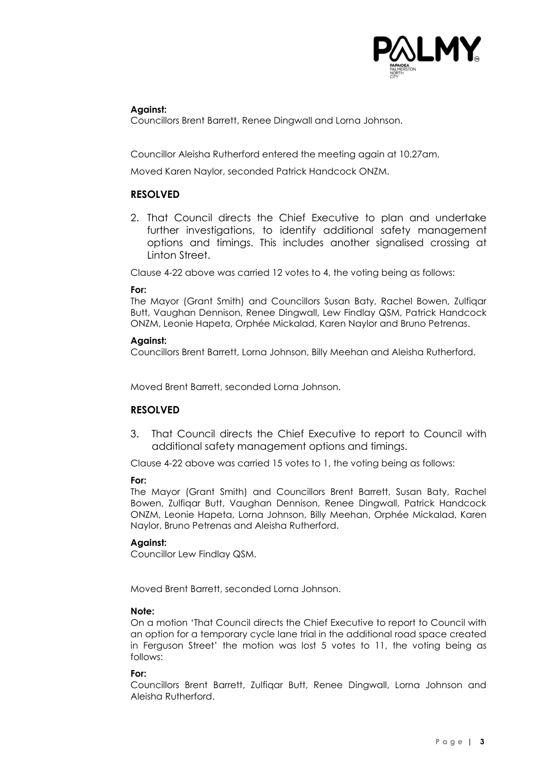

# **Against:**

Councillors Brent Barrett, Renee Dingwall and Lorna Johnson.

Councillor Aleisha Rutherford entered the meeting again at 10.27am.

Moved Karen Naylor, seconded Patrick Handcock ONZM.

# **RESOLVED**

2. That Council directs the Chief Executive to plan and undertake further investigations, to identify additional safety management options and timings. This includes another signalised crossing at Linton Street.

Clause 4-22 above was carried 12 votes to 4, the voting being as follows:

#### **For:**

The Mayor (Grant Smith) and Councillors Susan Baty, Rachel Bowen, Zulfiqar Butt, Vaughan Dennison, Renee Dingwall, Lew Findlay QSM, Patrick Handcock ONZM, Leonie Hapeta, Orphée Mickalad, Karen Naylor and Bruno Petrenas.

### **Against:**

Councillors Brent Barrett, Lorna Johnson, Billy Meehan and Aleisha Rutherford.

Moved Brent Barrett, seconded Lorna Johnson.

# **RESOLVED**

3. That Council directs the Chief Executive to report to Council with additional safety management options and timings.

Clause 4-22 above was carried 15 votes to 1, the voting being as follows:

#### **For:**

The Mayor (Grant Smith) and Councillors Brent Barrett, Susan Baty, Rachel Bowen, Zulfiqar Butt, Vaughan Dennison, Renee Dingwall, Patrick Handcock ONZM, Leonie Hapeta, Lorna Johnson, Billy Meehan, Orphée Mickalad, Karen Naylor, Bruno Petrenas and Aleisha Rutherford.

# **Against:**

Councillor Lew Findlay QSM.

Moved Brent Barrett, seconded Lorna Johnson.

# **Note:**

On a motion 'That Council directs the Chief Executive to report to Council with an option for a temporary cycle lane trial in the additional road space created in Ferguson Street' the motion was lost 5 votes to 11, the voting being as follows:

#### **For:**

Councillors Brent Barrett, Zulfiqar Butt, Renee Dingwall, Lorna Johnson and Aleisha Rutherford.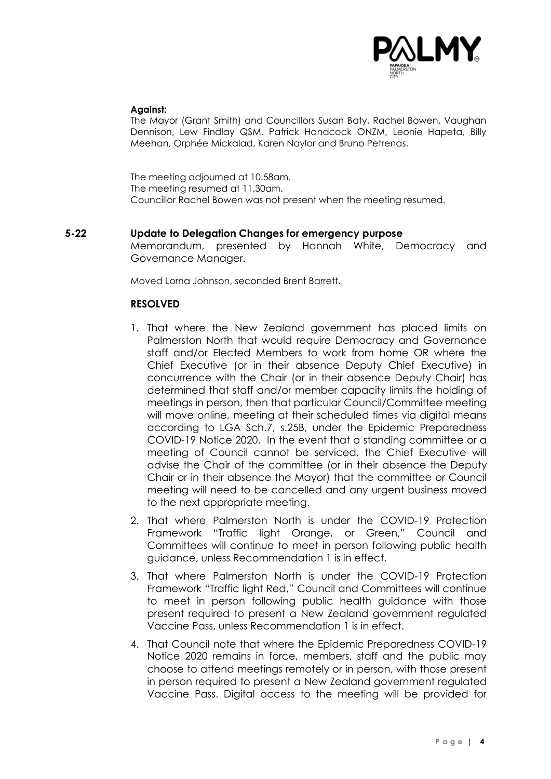

#### **Against:**

The Mayor (Grant Smith) and Councillors Susan Baty, Rachel Bowen, Vaughan Dennison, Lew Findlay QSM, Patrick Handcock ONZM, Leonie Hapeta, Billy Meehan, Orphée Mickalad, Karen Naylor and Bruno Petrenas.

The meeting adjourned at 10.58am. The meeting resumed at 11.30am. Councillor Rachel Bowen was not present when the meeting resumed.

### **5-22 Update to Delegation Changes for emergency purpose**

Memorandum, presented by Hannah White, Democracy and Governance Manager.

Moved Lorna Johnson, seconded Brent Barrett.

# **RESOLVED**

- 1. That where the New Zealand government has placed limits on Palmerston North that would require Democracy and Governance staff and/or Elected Members to work from home OR where the Chief Executive (or in their absence Deputy Chief Executive) in concurrence with the Chair (or in their absence Deputy Chair) has determined that staff and/or member capacity limits the holding of meetings in person, then that particular Council/Committee meeting will move online, meeting at their scheduled times via digital means according to LGA Sch.7, s.25B, under the Epidemic Preparedness COVID-19 Notice 2020. In the event that a standing committee or a meeting of Council cannot be serviced, the Chief Executive will advise the Chair of the committee (or in their absence the Deputy Chair or in their absence the Mayor) that the committee or Council meeting will need to be cancelled and any urgent business moved to the next appropriate meeting.
- 2. That where Palmerston North is under the COVID-19 Protection Framework "Traffic light Orange, or Green," Council and Committees will continue to meet in person following public health guidance, unless Recommendation 1 is in effect.
- 3. That where Palmerston North is under the COVID-19 Protection Framework "Traffic light Red," Council and Committees will continue to meet in person following public health guidance with those present required to present a New Zealand government regulated Vaccine Pass, unless Recommendation 1 is in effect.
- 4. That Council note that where the Epidemic Preparedness COVID-19 Notice 2020 remains in force, members, staff and the public may choose to attend meetings remotely or in person, with those present in person required to present a New Zealand government regulated Vaccine Pass. Digital access to the meeting will be provided for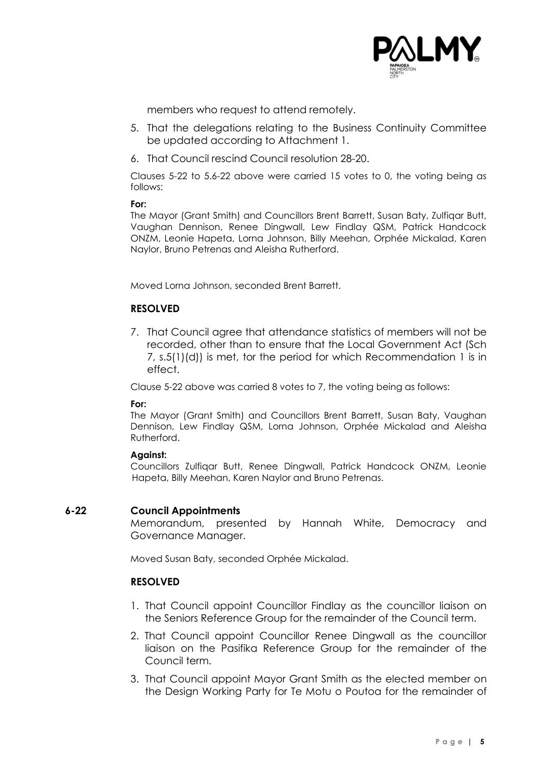

members who request to attend remotely.

- 5. That the delegations relating to the Business Continuity Committee be updated according to Attachment 1.
- 6. That Council rescind Council resolution 28-20.

Clauses 5-22 to 5.6-22 above were carried 15 votes to 0, the voting being as follows:

**For:**

The Mayor (Grant Smith) and Councillors Brent Barrett, Susan Baty, Zulfiqar Butt, Vaughan Dennison, Renee Dingwall, Lew Findlay QSM, Patrick Handcock ONZM, Leonie Hapeta, Lorna Johnson, Billy Meehan, Orphée Mickalad, Karen Naylor, Bruno Petrenas and Aleisha Rutherford.

Moved Lorna Johnson, seconded Brent Barrett.

# **RESOLVED**

7. That Council agree that attendance statistics of members will not be recorded, other than to ensure that the Local Government Act (Sch 7, s.5(1)(d)) is met, tor the period for which Recommendation 1 is in effect.

Clause 5-22 above was carried 8 votes to 7, the voting being as follows:

#### **For:**

The Mayor (Grant Smith) and Councillors Brent Barrett, Susan Baty, Vaughan Dennison, Lew Findlay QSM, Lorna Johnson, Orphée Mickalad and Aleisha Rutherford.

#### **Against:**

Councillors Zulfiqar Butt, Renee Dingwall, Patrick Handcock ONZM, Leonie Hapeta, Billy Meehan, Karen Naylor and Bruno Petrenas.

#### **6-22 Council Appointments**

Memorandum, presented by Hannah White, Democracy and Governance Manager.

Moved Susan Baty, seconded Orphée Mickalad.

#### **RESOLVED**

- 1. That Council appoint Councillor Findlay as the councillor liaison on the Seniors Reference Group for the remainder of the Council term.
- 2. That Council appoint Councillor Renee Dingwall as the councillor liaison on the Pasifika Reference Group for the remainder of the Council term.
- 3. That Council appoint Mayor Grant Smith as the elected member on the Design Working Party for Te Motu o Poutoa for the remainder of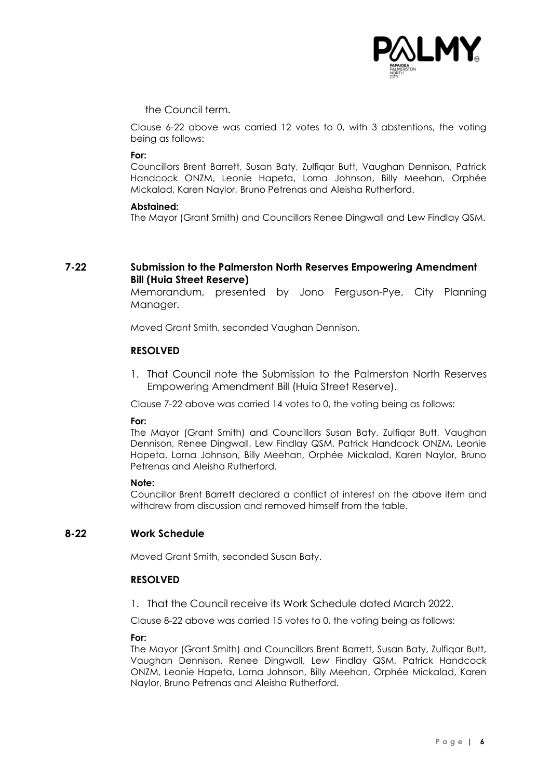

the Council term.

Clause 6-22 above was carried 12 votes to 0, with 3 abstentions, the voting being as follows:

#### **For:**

Councillors Brent Barrett, Susan Baty, Zulfiqar Butt, Vaughan Dennison, Patrick Handcock ONZM, Leonie Hapeta, Lorna Johnson, Billy Meehan, Orphée Mickalad, Karen Naylor, Bruno Petrenas and Aleisha Rutherford.

#### **Abstained:**

The Mayor (Grant Smith) and Councillors Renee Dingwall and Lew Findlay QSM.

# **7-22 Submission to the Palmerston North Reserves Empowering Amendment Bill (Huia Street Reserve)**

Memorandum, presented by Jono Ferguson-Pye, City Planning Manager.

Moved Grant Smith, seconded Vaughan Dennison.

# **RESOLVED**

1. That Council note the Submission to the Palmerston North Reserves Empowering Amendment Bill (Huia Street Reserve).

Clause 7-22 above was carried 14 votes to 0, the voting being as follows:

#### **For:**

The Mayor (Grant Smith) and Councillors Susan Baty, Zulfiqar Butt, Vaughan Dennison, Renee Dingwall, Lew Findlay QSM, Patrick Handcock ONZM, Leonie Hapeta, Lorna Johnson, Billy Meehan, Orphée Mickalad, Karen Naylor, Bruno Petrenas and Aleisha Rutherford.

#### **Note:**

Councillor Brent Barrett declared a conflict of interest on the above item and withdrew from discussion and removed himself from the table.

### **8-22 Work Schedule**

Moved Grant Smith, seconded Susan Baty.

#### **RESOLVED**

1. That the Council receive its Work Schedule dated March 2022.

Clause 8-22 above was carried 15 votes to 0, the voting being as follows:

#### **For:**

The Mayor (Grant Smith) and Councillors Brent Barrett, Susan Baty, Zulfiqar Butt, Vaughan Dennison, Renee Dingwall, Lew Findlay QSM, Patrick Handcock ONZM, Leonie Hapeta, Lorna Johnson, Billy Meehan, Orphée Mickalad, Karen Naylor, Bruno Petrenas and Aleisha Rutherford.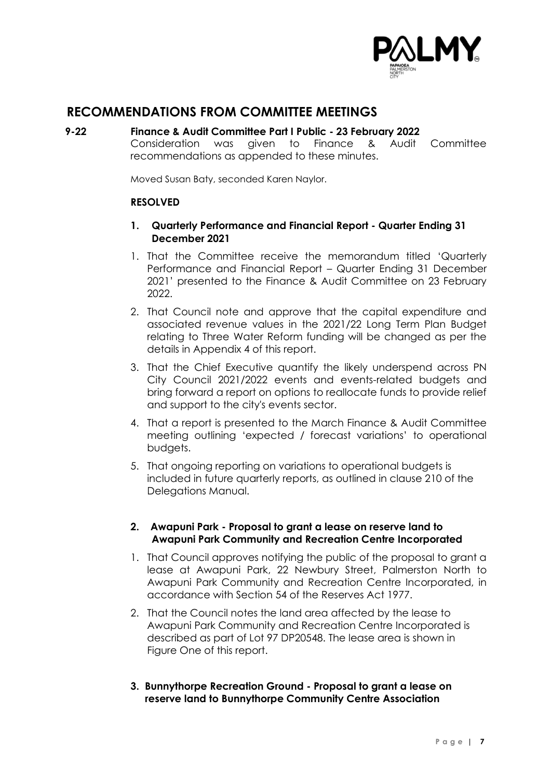

# **RECOMMENDATIONS FROM COMMITTEE MEETINGS**

# **9-22 Finance & Audit Committee Part I Public - 23 February 2022**

Consideration was given to Finance & Audit Committee recommendations as appended to these minutes.

Moved Susan Baty, seconded Karen Naylor.

# **RESOLVED**

# **1. Quarterly Performance and Financial Report - Quarter Ending 31 December 2021**

- 1. That the Committee receive the memorandum titled 'Quarterly Performance and Financial Report – Quarter Ending 31 December 2021' presented to the Finance & Audit Committee on 23 February 2022.
- 2. That Council note and approve that the capital expenditure and associated revenue values in the 2021/22 Long Term Plan Budget relating to Three Water Reform funding will be changed as per the details in Appendix 4 of this report.
- 3. That the Chief Executive quantify the likely underspend across PN City Council 2021/2022 events and events-related budgets and bring forward a report on options to reallocate funds to provide relief and support to the city's events sector.
- 4. That a report is presented to the March Finance & Audit Committee meeting outlining 'expected / forecast variations' to operational budgets.
- 5. That ongoing reporting on variations to operational budgets is included in future quarterly reports, as outlined in clause 210 of the Delegations Manual.

# **2. Awapuni Park - Proposal to grant a lease on reserve land to Awapuni Park Community and Recreation Centre Incorporated**

- 1. That Council approves notifying the public of the proposal to grant a lease at Awapuni Park, 22 Newbury Street, Palmerston North to Awapuni Park Community and Recreation Centre Incorporated, in accordance with Section 54 of the Reserves Act 1977.
- 2. That the Council notes the land area affected by the lease to Awapuni Park Community and Recreation Centre Incorporated is described as part of Lot 97 DP20548. The lease area is shown in Figure One of this report.
- **3. Bunnythorpe Recreation Ground - Proposal to grant a lease on reserve land to Bunnythorpe Community Centre Association**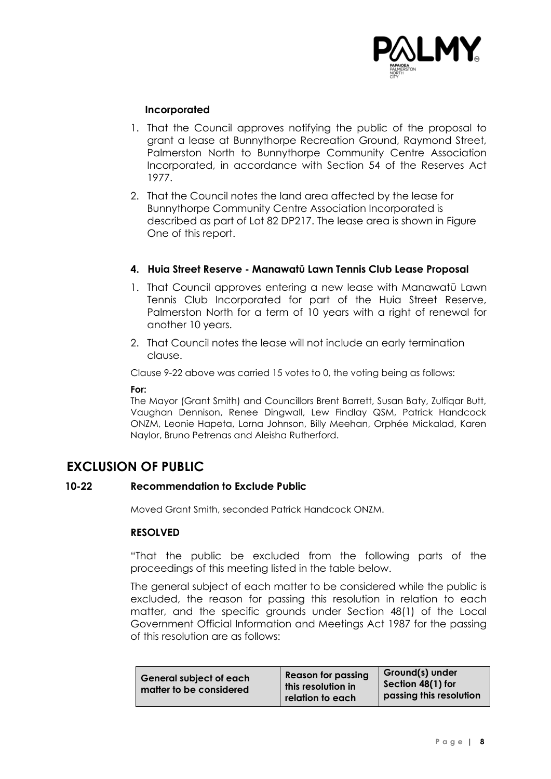

# **Incorporated**

- 1. That the Council approves notifying the public of the proposal to grant a lease at Bunnythorpe Recreation Ground, Raymond Street, Palmerston North to Bunnythorpe Community Centre Association Incorporated, in accordance with Section 54 of the Reserves Act 1977.
- 2. That the Council notes the land area affected by the lease for Bunnythorpe Community Centre Association Incorporated is described as part of Lot 82 DP217. The lease area is shown in Figure One of this report.

# **4. Huia Street Reserve - Manawatū Lawn Tennis Club Lease Proposal**

- 1. That Council approves entering a new lease with Manawatū Lawn Tennis Club Incorporated for part of the Huia Street Reserve, Palmerston North for a term of 10 years with a right of renewal for another 10 years.
- 2. That Council notes the lease will not include an early termination clause.

Clause 9-22 above was carried 15 votes to 0, the voting being as follows:

#### **For:**

The Mayor (Grant Smith) and Councillors Brent Barrett, Susan Baty, Zulfiqar Butt, Vaughan Dennison, Renee Dingwall, Lew Findlay QSM, Patrick Handcock ONZM, Leonie Hapeta, Lorna Johnson, Billy Meehan, Orphée Mickalad, Karen Naylor, Bruno Petrenas and Aleisha Rutherford.

# **EXCLUSION OF PUBLIC**

# **10-22 Recommendation to Exclude Public**

Moved Grant Smith, seconded Patrick Handcock ONZM.

# **RESOLVED**

"That the public be excluded from the following parts of the proceedings of this meeting listed in the table below.

The general subject of each matter to be considered while the public is excluded, the reason for passing this resolution in relation to each matter, and the specific grounds under Section 48(1) of the Local Government Official Information and Meetings Act 1987 for the passing of this resolution are as follows: